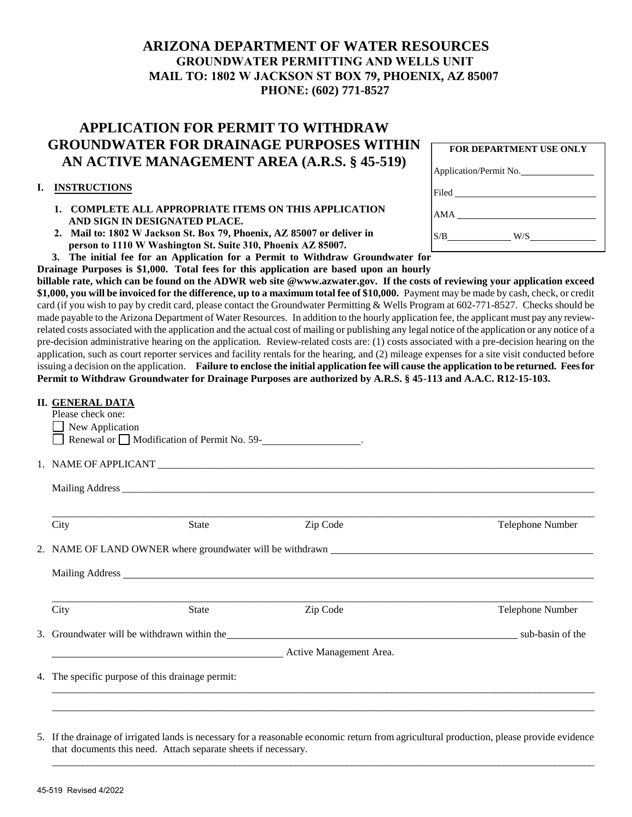## **ARIZONA DEPARTMENT OF WATER RESOURCES GROUNDWATER PERMITTING AND WELLS UNIT MAIL TO: 1802 W JACKSON ST BOX 79, PHOENIX, AZ 85007 PHONE: (602) 771-8527**

## **APPLICATION FOR PERMIT TO WITHDRAW GROUNDWATER FOR DRAINAGE PURPOSES WITHIN AN ACTIVE MANAGEMENT AREA (A.R.S. § 45-519)**

## **I. INSTRUCTIONS**

- **1. COMPLETE ALL APPROPRIATE ITEMS ON THIS APPLICATION AND SIGN IN DESIGNATED PLACE.**
- **2. Mail to: 1802 W Jackson St. Box 79, Phoenix, AZ 85007 or deliver in person to 1110 W Washington St. Suite 310, Phoenix AZ 85007.**

|  | $P_{\text{2}}$ and $P_{\text{2}}$ are $P_{\text{2}}$ and $P_{\text{2}}$ are $P_{\text{2}}$ and $P_{\text{2}}$ are $P_{\text{2}}$ and $P_{\text{2}}$ are $P_{\text{2}}$ and $P_{\text{2}}$ are $P_{\text{2}}$ and $P_{\text{2}}$ are $P_{\text{2}}$ and $P_{\text{2}}$ are $P_{\text{2}}$ and $P_{\text{2}}$ a |                                                                                        |  |
|--|---------------------------------------------------------------------------------------------------------------------------------------------------------------------------------------------------------------------------------------------------------------------------------------------------------------|----------------------------------------------------------------------------------------|--|
|  |                                                                                                                                                                                                                                                                                                               | 3. The initial fee for an Application for a Permit to Withdraw Groundwater for         |  |
|  |                                                                                                                                                                                                                                                                                                               | Drainage Purposes is \$1,000. Total fees for this application are based upon an hourly |  |

**billable rate, which can be found on the ADWR web site @www.azwater.gov. If the costs of reviewing your application exceed**  \$1,000, you will be invoiced for the difference, up to a maximum total fee of \$10,000. Payment may be made by cash, check, or credit card (if you wish to pay by credit card, please contact the Groundwater Permitting & Wells Program at 602-771-8527. Checks should be made payable to the Arizona Department of Water Resources. In addition to the hourly application fee, the applicant must pay any reviewrelated costs associated with the application and the actual cost of mailing or publishing any legal notice of the application or any notice of a pre-decision administrative hearing on the application. Review-related costs are: (1) costs associated with a pre-decision hearing on the application, such as court reporter services and facility rentals for the hearing, and (2) mileage expenses for a site visit conducted before issuing a decision on the application. **Failure to enclose the initial application fee will cause the application to be returned. Fees for Permit to Withdraw Groundwater for Drainage Purposes are authorized by A.R.S. § 45-113 and A.A.C. R12-15-103.**

| <b>II. GENERAL DATA</b> |                                                                                    |                                                                                          |                  |
|-------------------------|------------------------------------------------------------------------------------|------------------------------------------------------------------------------------------|------------------|
| Please check one:       |                                                                                    |                                                                                          |                  |
| New Application         |                                                                                    |                                                                                          |                  |
|                         | Renewal or □ Modification of Permit No. 59-<br><u>__________________________</u> . |                                                                                          |                  |
|                         |                                                                                    |                                                                                          |                  |
|                         |                                                                                    | 1. NAME OF APPLICANT                                                                     |                  |
|                         |                                                                                    |                                                                                          |                  |
|                         |                                                                                    |                                                                                          |                  |
|                         |                                                                                    |                                                                                          |                  |
| City                    | <b>State</b>                                                                       | Zip Code                                                                                 | Telephone Number |
|                         |                                                                                    |                                                                                          |                  |
|                         |                                                                                    | 2. NAME OF LAND OWNER where groundwater will be withdrawn                                |                  |
|                         |                                                                                    |                                                                                          |                  |
|                         |                                                                                    |                                                                                          |                  |
|                         |                                                                                    |                                                                                          |                  |
| City                    | <b>State</b>                                                                       | Zip Code                                                                                 | Telephone Number |
|                         |                                                                                    |                                                                                          |                  |
|                         |                                                                                    | 3. Groundwater will be withdrawn within the subsequently assumed to the sub-basin of the |                  |
|                         |                                                                                    | Active Management Area.                                                                  |                  |
|                         |                                                                                    |                                                                                          |                  |
|                         | 4. The specific purpose of this drainage permit:                                   |                                                                                          |                  |
|                         |                                                                                    |                                                                                          |                  |
|                         |                                                                                    |                                                                                          |                  |
|                         |                                                                                    |                                                                                          |                  |

5. If the drainage of irrigated lands is necessary for a reasonable economic return from agricultural production, please provide evidence that documents this need. Attach separate sheets if necessary.

 $\_$  , and the set of the set of the set of the set of the set of the set of the set of the set of the set of the set of the set of the set of the set of the set of the set of the set of the set of the set of the set of th

|     | <b>FOR DEPARTMENT USE ONLY</b> |
|-----|--------------------------------|
|     | Application/Permit No.         |
|     |                                |
| AMA |                                |
| S/B | W/S –                          |